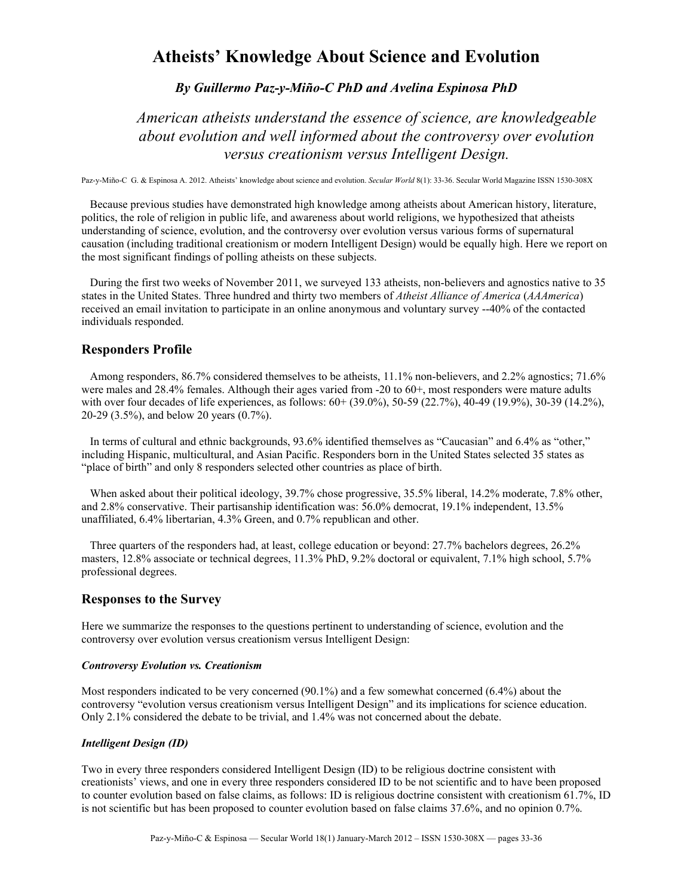# **Atheists' Knowledge About Science and Evolution**

# *By Guillermo Paz-y-Miño-C PhD and Avelina Espinosa PhD*

*American atheists understand the essence of science, are knowledgeable about evolution and well informed about the controversy over evolution versus creationism versus Intelligent Design.*

Paz-y-Miño-C G. & Espinosa A. 2012. Atheists' knowledge about science and evolution. *Secular World* 8(1): 33-36. Secular World Magazine ISSN 1530-308X

 Because previous studies have demonstrated high knowledge among atheists about American history, literature, politics, the role of religion in public life, and awareness about world religions, we hypothesized that atheists understanding of science, evolution, and the controversy over evolution versus various forms of supernatural causation (including traditional creationism or modern Intelligent Design) would be equally high. Here we report on the most significant findings of polling atheists on these subjects.

 During the first two weeks of November 2011, we surveyed 133 atheists, non-believers and agnostics native to 35 states in the United States. Three hundred and thirty two members of *Atheist Alliance of America* (*AAAmerica*) received an email invitation to participate in an online anonymous and voluntary survey --40% of the contacted individuals responded.

# **Responders Profile**

Among responders, 86.7% considered themselves to be atheists, 11.1% non-believers, and 2.2% agnostics: 71.6% were males and 28.4% females. Although their ages varied from -20 to 60+, most responders were mature adults with over four decades of life experiences, as follows:  $60+ (39.0\%)$ ,  $50-59 (22.7\%)$ ,  $40-49 (19.9\%)$ ,  $30-39 (14.2\%)$ , 20-29 (3.5%), and below 20 years (0.7%).

 In terms of cultural and ethnic backgrounds, 93.6% identified themselves as "Caucasian" and 6.4% as "other," including Hispanic, multicultural, and Asian Pacific. Responders born in the United States selected 35 states as "place of birth" and only 8 responders selected other countries as place of birth.

When asked about their political ideology, 39.7% chose progressive, 35.5% liberal, 14.2% moderate, 7.8% other, and 2.8% conservative. Their partisanship identification was: 56.0% democrat, 19.1% independent, 13.5% unaffiliated, 6.4% libertarian, 4.3% Green, and 0.7% republican and other.

 Three quarters of the responders had, at least, college education or beyond: 27.7% bachelors degrees, 26.2% masters, 12.8% associate or technical degrees, 11.3% PhD, 9.2% doctoral or equivalent, 7.1% high school, 5.7% professional degrees.

# **Responses to the Survey**

Here we summarize the responses to the questions pertinent to understanding of science, evolution and the controversy over evolution versus creationism versus Intelligent Design:

## *Controversy Evolution vs. Creationism*

Most responders indicated to be very concerned (90.1%) and a few somewhat concerned (6.4%) about the controversy "evolution versus creationism versus Intelligent Design" and its implications for science education. Only 2.1% considered the debate to be trivial, and 1.4% was not concerned about the debate.

## *Intelligent Design (ID)*

Two in every three responders considered Intelligent Design (ID) to be religious doctrine consistent with creationists' views, and one in every three responders considered ID to be not scientific and to have been proposed to counter evolution based on false claims, as follows: ID is religious doctrine consistent with creationism 61.7%, ID is not scientific but has been proposed to counter evolution based on false claims 37.6%, and no opinion 0.7%.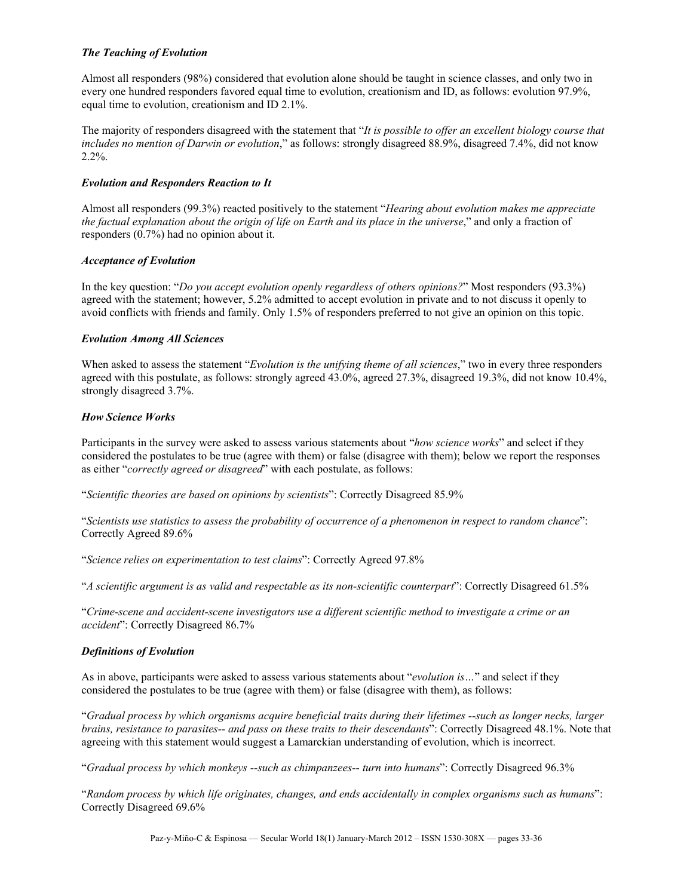## *The Teaching of Evolution*

Almost all responders (98%) considered that evolution alone should be taught in science classes, and only two in every one hundred responders favored equal time to evolution, creationism and ID, as follows: evolution 97.9%, equal time to evolution, creationism and ID 2.1%.

The majority of responders disagreed with the statement that "*It is possible to offer an excellent biology course that includes no mention of Darwin or evolution*," as follows: strongly disagreed 88.9%, disagreed 7.4%, did not know 2.2%.

#### *Evolution and Responders Reaction to It*

Almost all responders (99.3%) reacted positively to the statement "*Hearing about evolution makes me appreciate the factual explanation about the origin of life on Earth and its place in the universe*," and only a fraction of responders (0.7%) had no opinion about it.

#### *Acceptance of Evolution*

In the key question: "*Do you accept evolution openly regardless of others opinions?*" Most responders (93.3%) agreed with the statement; however, 5.2% admitted to accept evolution in private and to not discuss it openly to avoid conflicts with friends and family. Only 1.5% of responders preferred to not give an opinion on this topic.

#### *Evolution Among All Sciences*

When asked to assess the statement "*Evolution is the unifying theme of all sciences*," two in every three responders agreed with this postulate, as follows: strongly agreed 43.0%, agreed 27.3%, disagreed 19.3%, did not know 10.4%, strongly disagreed 3.7%.

#### *How Science Works*

Participants in the survey were asked to assess various statements about "*how science works*" and select if they considered the postulates to be true (agree with them) or false (disagree with them); below we report the responses as either "*correctly agreed or disagreed*" with each postulate, as follows:

"*Scientific theories are based on opinions by scientists*": Correctly Disagreed 85.9%

"*Scientists use statistics to assess the probability of occurrence of a phenomenon in respect to random chance*": Correctly Agreed 89.6%

"*Science relies on experimentation to test claims*": Correctly Agreed 97.8%

"*A scientific argument is as valid and respectable as its non-scientific counterpart*": Correctly Disagreed 61.5%

"*Crime-scene and accident-scene investigators use a different scientific method to investigate a crime or an accident*": Correctly Disagreed 86.7%

## *Definitions of Evolution*

As in above, participants were asked to assess various statements about "*evolution is…*" and select if they considered the postulates to be true (agree with them) or false (disagree with them), as follows:

"*Gradual process by which organisms acquire beneficial traits during their lifetimes --such as longer necks, larger brains, resistance to parasites-- and pass on these traits to their descendants*": Correctly Disagreed 48.1%. Note that agreeing with this statement would suggest a Lamarckian understanding of evolution, which is incorrect.

"*Gradual process by which monkeys --such as chimpanzees-- turn into humans*": Correctly Disagreed 96.3%

"*Random process by which life originates, changes, and ends accidentally in complex organisms such as humans*": Correctly Disagreed 69.6%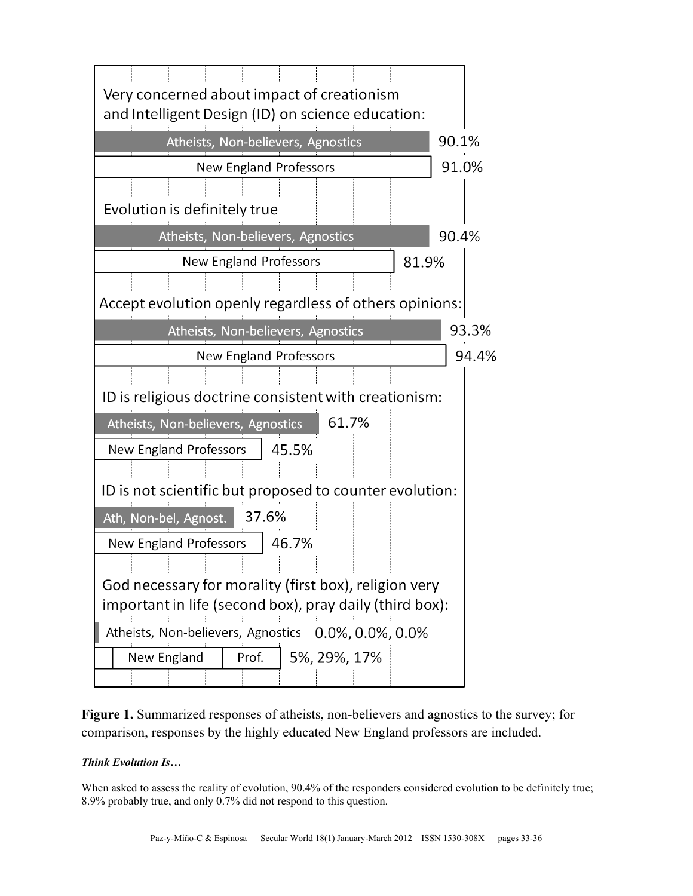

**Figure 1.** Summarized responses of atheists, non-believers and agnostics to the survey; for comparison, responses by the highly educated New England professors are included.

# *Think Evolution Is…*

When asked to assess the reality of evolution, 90.4% of the responders considered evolution to be definitely true; 8.9% probably true, and only 0.7% did not respond to this question.